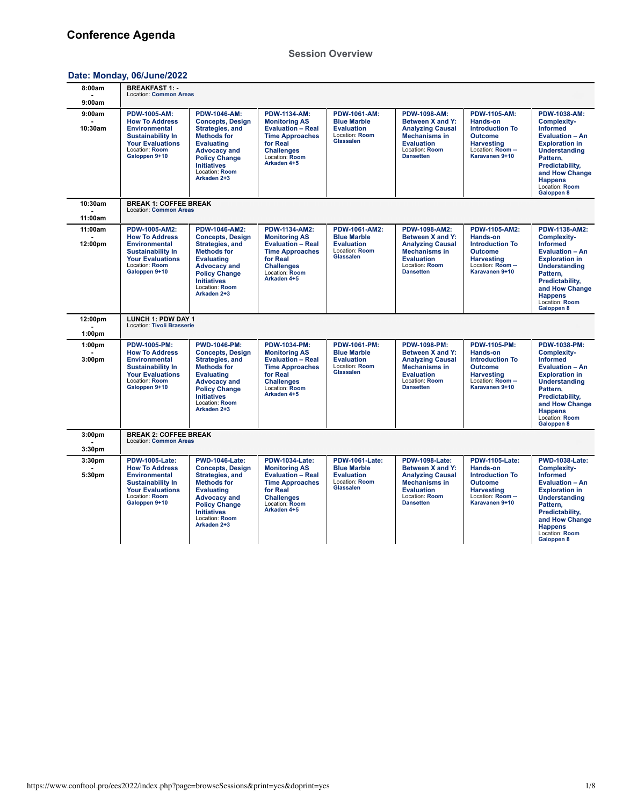### **[Session Overview](https://www.conftool.pro/ees2022/index.php?page=browseSessions&print=yes&doprint=yes)**

# **Date: Monday, [06/June/2022](https://www.conftool.pro/ees2022/index.php?page=browseSessions&print=yes&doprint=yes&form_date=2022-06-06)**

| 8:00am                                   | <b>BREAKFAST 1: -</b><br>Location: Common Areas                                                                                                                  |                                                                                                                                                                                                                      |                                                                                                                                                                       |                                                                                                       |                                                                                                                                                         |                                                                                                                                           |                                                                                                                                                                                                                                              |
|------------------------------------------|------------------------------------------------------------------------------------------------------------------------------------------------------------------|----------------------------------------------------------------------------------------------------------------------------------------------------------------------------------------------------------------------|-----------------------------------------------------------------------------------------------------------------------------------------------------------------------|-------------------------------------------------------------------------------------------------------|---------------------------------------------------------------------------------------------------------------------------------------------------------|-------------------------------------------------------------------------------------------------------------------------------------------|----------------------------------------------------------------------------------------------------------------------------------------------------------------------------------------------------------------------------------------------|
| 9:00am                                   |                                                                                                                                                                  |                                                                                                                                                                                                                      |                                                                                                                                                                       |                                                                                                       |                                                                                                                                                         |                                                                                                                                           |                                                                                                                                                                                                                                              |
| 9:00am<br>10:30am                        | <b>PDW-1005-AM:</b><br><b>How To Address</b><br><b>Environmental</b><br><b>Sustainability In</b><br><b>Your Evaluations</b><br>Location: Room<br>Galoppen 9+10   | <b>PDW-1046-AM:</b><br><b>Concepts, Design</b><br>Strategies, and<br><b>Methods for</b><br><b>Evaluating</b><br><b>Advocacy and</b><br><b>Policy Change</b><br><b>Initiatives</b><br>Location: Room<br>Arkaden 2+3   | <b>PDW-1134-AM:</b><br><b>Monitoring AS</b><br><b>Evaluation - Real</b><br><b>Time Approaches</b><br>for Real<br><b>Challenges</b><br>Location: Room<br>Arkaden 4+5   | <b>PDW-1061-AM:</b><br><b>Blue Marble</b><br><b>Evaluation</b><br>Location: Room<br>Glassalen         | <b>PDW-1098-AM:</b><br>Between X and Y:<br><b>Analyzing Causal</b><br><b>Mechanisms in</b><br><b>Evaluation</b><br>Location: Room<br><b>Dansetten</b>   | <b>PDW-1105-AM:</b><br>Hands-on<br><b>Introduction To</b><br><b>Outcome</b><br><b>Harvesting</b><br>Location: Room --<br>Karavanen 9+10   | PDW-1038-AM:<br><b>Complexity-</b><br><b>Informed</b><br><b>Evaluation - An</b><br><b>Exploration in</b><br><b>Understanding</b><br>Pattern,<br>Predictability,<br>and How Change<br><b>Happens</b><br>Location: Room<br>Galoppen 8          |
| 10:30am<br>11:00am                       | <b>BREAK 1: COFFEE BREAK</b><br><b>Location: Common Areas</b>                                                                                                    |                                                                                                                                                                                                                      |                                                                                                                                                                       |                                                                                                       |                                                                                                                                                         |                                                                                                                                           |                                                                                                                                                                                                                                              |
| 11:00am<br>12:00pm                       | <b>PDW-1005-AM2:</b><br><b>How To Address</b><br><b>Environmental</b><br><b>Sustainability In</b><br><b>Your Evaluations</b><br>Location: Room<br>Galoppen 9+10  | PDW-1046-AM2:<br><b>Concepts, Design</b><br>Strategies, and<br><b>Methods for</b><br><b>Evaluating</b><br><b>Advocacy and</b><br><b>Policy Change</b><br><b>Initiatives</b><br>Location: Room<br>Arkaden 2+3         | PDW-1134-AM2:<br><b>Monitoring AS</b><br><b>Evaluation - Real</b><br><b>Time Approaches</b><br>for Real<br><b>Challenges</b><br>Location: Room<br>Arkaden 4+5         | <b>PDW-1061-AM2:</b><br><b>Blue Marble</b><br><b>Evaluation</b><br>Location: Room<br><b>Glassalen</b> | PDW-1098-AM2:<br>Between X and Y:<br><b>Analyzing Causal</b><br><b>Mechanisms in</b><br><b>Evaluation</b><br>Location: Room<br><b>Dansetten</b>         | PDW-1105-AM2:<br>Hands-on<br><b>Introduction To</b><br><b>Outcome</b><br><b>Harvesting</b><br>Location: Room --<br>Karavanen 9+10         | PDW-1138-AM2:<br>Complexity-<br><b>Informed</b><br><b>Evaluation - An</b><br><b>Exploration in</b><br><b>Understanding</b><br>Pattern.<br>Predictability,<br>and How Change<br><b>Happens</b><br>Location: Room<br>Galoppen 8                |
| 12:00pm<br>1:00 <sub>pm</sub>            | <b>LUNCH 1: PDW DAY 1</b><br>Location: Tivoli Brasserie                                                                                                          |                                                                                                                                                                                                                      |                                                                                                                                                                       |                                                                                                       |                                                                                                                                                         |                                                                                                                                           |                                                                                                                                                                                                                                              |
| 1:00 <sub>pm</sub><br>3:00 <sub>pm</sub> | <b>PDW-1005-PM:</b><br><b>How To Address</b><br><b>Environmental</b><br><b>Sustainability In</b><br><b>Your Evaluations</b><br>Location: Room<br>Galoppen 9+10   | <b>PWD-1046-PM:</b><br><b>Concepts, Design</b><br>Strategies, and<br><b>Methods for</b><br><b>Evaluating</b><br><b>Advocacy and</b><br><b>Policy Change</b><br><b>Initiatives</b><br>Location: Room<br>Arkaden 2+3   | <b>PDW-1034-PM:</b><br><b>Monitoring AS</b><br><b>Evaluation - Real</b><br><b>Time Approaches</b><br>for Real<br><b>Challenges</b><br>Location: Room<br>Arkaden 4+5   | <b>PDW-1061-PM:</b><br><b>Blue Marble</b><br><b>Evaluation</b><br>Location: Room<br>Glassalen         | <b>PDW-1098-PM:</b><br>Between X and Y:<br><b>Analyzing Causal</b><br><b>Mechanisms in</b><br><b>Evaluation</b><br>Location: Room<br><b>Dansetten</b>   | <b>PDW-1105-PM:</b><br>Hands-on<br><b>Introduction To</b><br><b>Outcome</b><br><b>Harvesting</b><br>Location: Room --<br>Karavanen 9+10   | <b>PDW-1038-PM:</b><br>Complexity-<br><b>Informed</b><br><b>Evaluation - An</b><br><b>Exploration in</b><br><b>Understanding</b><br>Pattern.<br>Predictability,<br>and How Change<br><b>Happens</b><br>Location: Room<br>Galoppen 8          |
| 3:00 <sub>pm</sub><br>3:30pm             | <b>BREAK 2: COFFEE BREAK</b><br><b>Location: Common Areas</b>                                                                                                    |                                                                                                                                                                                                                      |                                                                                                                                                                       |                                                                                                       |                                                                                                                                                         |                                                                                                                                           |                                                                                                                                                                                                                                              |
| 3:30 <sub>pm</sub><br>5:30pm             | <b>PDW-1005-Late:</b><br><b>How To Address</b><br><b>Environmental</b><br><b>Sustainability In</b><br><b>Your Evaluations</b><br>Location: Room<br>Galoppen 9+10 | <b>PWD-1046-Late:</b><br><b>Concepts, Design</b><br>Strategies, and<br><b>Methods for</b><br><b>Evaluating</b><br><b>Advocacy and</b><br><b>Policy Change</b><br><b>Initiatives</b><br>Location: Room<br>Arkaden 2+3 | <b>PDW-1034-Late:</b><br><b>Monitoring AS</b><br><b>Evaluation - Real</b><br><b>Time Approaches</b><br>for Real<br><b>Challenges</b><br>Location: Room<br>Arkaden 4+5 | <b>PDW-1061-Late:</b><br><b>Blue Marble</b><br><b>Evaluation</b><br>Location: Room<br>Glassalen       | <b>PDW-1098-Late:</b><br>Between X and Y:<br><b>Analyzing Causal</b><br><b>Mechanisms in</b><br><b>Evaluation</b><br>Location: Room<br><b>Dansetten</b> | <b>PDW-1105-Late:</b><br>Hands-on<br><b>Introduction To</b><br><b>Outcome</b><br><b>Harvesting</b><br>Location: Room --<br>Karavanen 9+10 | <b>PWD-1038-Late:</b><br><b>Complexity-</b><br><b>Informed</b><br><b>Evaluation - An</b><br><b>Exploration in</b><br><b>Understanding</b><br>Pattern.<br>Predictability,<br>and How Change<br><b>Happens</b><br>Location: Room<br>Galoppen 8 |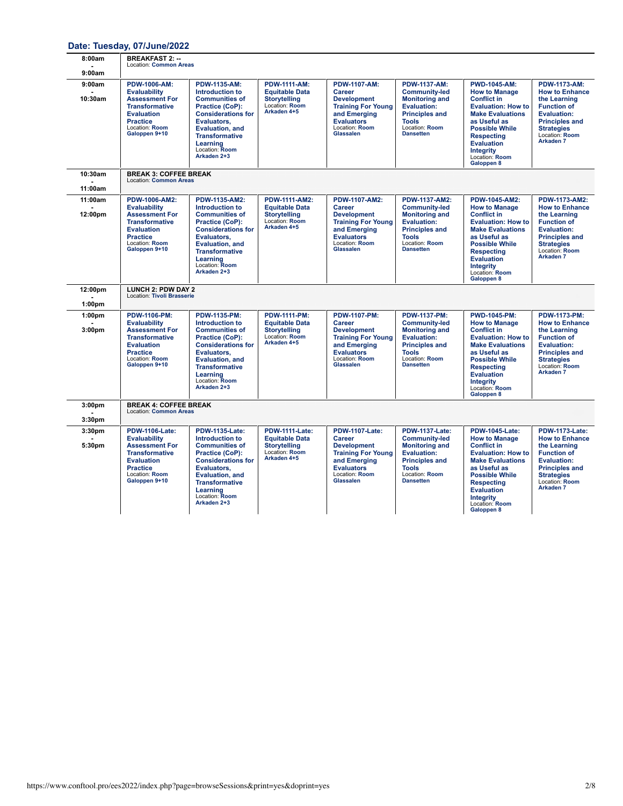## **Date: Tuesday, [07/June/2022](https://www.conftool.pro/ees2022/index.php?page=browseSessions&print=yes&doprint=yes&form_date=2022-06-07)**

| 8:00am                                   | <b>BREAKFAST 2: --</b><br><b>Location: Common Areas</b>                                                                                                                   |                                                                                                                                                                                                                                  |                                                                                                        |                                                                                                                                                                    |                                                                                                                                                                             |                                                                                                                                                                                                                                                                   |                                                                                                                                                                                                    |
|------------------------------------------|---------------------------------------------------------------------------------------------------------------------------------------------------------------------------|----------------------------------------------------------------------------------------------------------------------------------------------------------------------------------------------------------------------------------|--------------------------------------------------------------------------------------------------------|--------------------------------------------------------------------------------------------------------------------------------------------------------------------|-----------------------------------------------------------------------------------------------------------------------------------------------------------------------------|-------------------------------------------------------------------------------------------------------------------------------------------------------------------------------------------------------------------------------------------------------------------|----------------------------------------------------------------------------------------------------------------------------------------------------------------------------------------------------|
| 9:00am                                   |                                                                                                                                                                           |                                                                                                                                                                                                                                  |                                                                                                        |                                                                                                                                                                    |                                                                                                                                                                             |                                                                                                                                                                                                                                                                   |                                                                                                                                                                                                    |
| 9:00am<br>10:30am                        | <b>PDW-1006-AM:</b><br><b>Evaluability</b><br><b>Assessment For</b><br><b>Transformative</b><br><b>Evaluation</b><br><b>Practice</b><br>Location: Room<br>Galoppen 9+10   | <b>PDW-1135-AM:</b><br>Introduction to<br><b>Communities of</b><br>Practice (CoP):<br><b>Considerations for</b><br>Evaluators,<br><b>Evaluation, and</b><br><b>Transformative</b><br>Learning<br>Location: Room<br>Arkaden 2+3   | <b>PDW-1111-AM:</b><br><b>Equitable Data</b><br><b>Storytelling</b><br>Location: Room<br>Arkaden 4+5   | <b>PDW-1107-AM:</b><br><b>Career</b><br><b>Development</b><br><b>Training For Young</b><br>and Emerging<br><b>Evaluators</b><br>Location: Room<br><b>Glassalen</b> | <b>PDW-1137-AM:</b><br><b>Community-led</b><br><b>Monitoring and</b><br>Evaluation:<br><b>Principles and</b><br><b>Tools</b><br>Location: Room<br><b>Dansetten</b>          | <b>PWD-1045-AM:</b><br><b>How to Manage</b><br><b>Conflict in</b><br><b>Evaluation: How to</b><br><b>Make Evaluations</b><br>as Useful as<br><b>Possible While</b><br><b>Respecting</b><br><b>Evaluation</b><br>Integrity<br>Location: Room<br>Galoppen 8         | <b>PDW-1173-AM:</b><br><b>How to Enhance</b><br>the Learning<br><b>Function of</b><br><b>Evaluation:</b><br><b>Principles and</b><br><b>Strategies</b><br>Location: Room<br>Arkaden <sub>7</sub>   |
| 10:30am                                  | <b>BREAK 3: COFFEE BREAK</b><br><b>Location: Common Areas</b>                                                                                                             |                                                                                                                                                                                                                                  |                                                                                                        |                                                                                                                                                                    |                                                                                                                                                                             |                                                                                                                                                                                                                                                                   |                                                                                                                                                                                                    |
| 11:00am                                  |                                                                                                                                                                           |                                                                                                                                                                                                                                  |                                                                                                        |                                                                                                                                                                    |                                                                                                                                                                             |                                                                                                                                                                                                                                                                   |                                                                                                                                                                                                    |
| 11:00am<br>12:00pm                       | <b>PDW-1006-AM2:</b><br><b>Evaluability</b><br><b>Assessment For</b><br><b>Transformative</b><br><b>Evaluation</b><br><b>Practice</b><br>Location: Room<br>Galoppen 9+10  | PDW-1135-AM2:<br>Introduction to<br><b>Communities of</b><br>Practice (CoP):<br><b>Considerations for</b><br>Evaluators.<br><b>Evaluation, and</b><br><b>Transformative</b><br>Learning<br>Location: Room<br>Arkaden 2+3         | <b>PDW-1111-AM2:</b><br><b>Equitable Data</b><br><b>Storytelling</b><br>Location: Room<br>Arkaden 4+5  | <b>PDW-1107-AM2:</b><br><b>Career</b><br><b>Development</b><br><b>Training For Young</b><br>and Emerging<br><b>Evaluators</b><br>Location: Room<br>Glassalen       | <b>PDW-1137-AM2:</b><br><b>Community-led</b><br><b>Monitoring and</b><br>Evaluation:<br><b>Principles and</b><br><b>Tools</b><br>Location: Room<br><b>Dansetten</b>         | <b>PDW-1045-AM2:</b><br><b>How to Manage</b><br><b>Conflict in</b><br><b>Evaluation: How to</b><br><b>Make Evaluations</b><br>as Useful as<br><b>Possible While</b><br><b>Respecting</b><br><b>Evaluation</b><br><b>Integrity</b><br>Location: Room<br>Galoppen 8 | PDW-1173-AM2:<br><b>How to Enhance</b><br>the Learning<br><b>Function of</b><br><b>Evaluation:</b><br><b>Principles and</b><br><b>Strategies</b><br>Location: Room<br>Arkaden 7                    |
| 12:00pm<br>1:00pm                        | <b>LUNCH 2: PDW DAY 2</b><br>Location: Tivoli Brasserie                                                                                                                   |                                                                                                                                                                                                                                  |                                                                                                        |                                                                                                                                                                    |                                                                                                                                                                             |                                                                                                                                                                                                                                                                   |                                                                                                                                                                                                    |
| 1:00 <sub>pm</sub><br>3:00 <sub>pm</sub> | <b>PDW-1106-PM:</b><br><b>Evaluability</b><br><b>Assessment For</b><br><b>Transformative</b><br><b>Evaluation</b><br><b>Practice</b><br>Location: Room<br>Galoppen 9+10   | <b>PDW-1135-PM:</b><br>Introduction to<br><b>Communities of</b><br>Practice (CoP):<br><b>Considerations for</b><br>Evaluators.<br><b>Evaluation, and</b><br><b>Transformative</b><br>Learning<br>Location: Room<br>Arkaden 2+3   | <b>PDW-1111-PM:</b><br><b>Equitable Data</b><br><b>Storytelling</b><br>Location: Room<br>Arkaden 4+5   | <b>PDW-1107-PM:</b><br><b>Career</b><br><b>Development</b><br><b>Training For Young</b><br>and Emerging<br><b>Evaluators</b><br>Location: Room<br><b>Glassalen</b> | <b>PDW-1137-PM:</b><br><b>Community-led</b><br><b>Monitoring and</b><br><b>Evaluation:</b><br><b>Principles and</b><br><b>Tools</b><br>Location: Room<br><b>Dansetten</b>   | <b>PWD-1045-PM:</b><br><b>How to Manage</b><br><b>Conflict in</b><br><b>Evaluation: How to</b><br><b>Make Evaluations</b><br>as Useful as<br><b>Possible While</b><br><b>Respecting</b><br><b>Evaluation</b><br><b>Integrity</b><br>Location: Room<br>Galoppen 8  | <b>PDW-1173-PM:</b><br><b>How to Enhance</b><br>the Learning<br><b>Function of</b><br><b>Evaluation:</b><br><b>Principles and</b><br><b>Strategies</b><br>Location: Room<br>Arkaden <sub>7</sub>   |
| 3:00 <sub>pm</sub><br>3:30pm             | <b>BREAK 4: COFFEE BREAK</b><br><b>Location: Common Areas</b>                                                                                                             |                                                                                                                                                                                                                                  |                                                                                                        |                                                                                                                                                                    |                                                                                                                                                                             |                                                                                                                                                                                                                                                                   |                                                                                                                                                                                                    |
| 3:30 <sub>pm</sub><br>5:30pm             | <b>PDW-1106-Late:</b><br><b>Evaluability</b><br><b>Assessment For</b><br><b>Transformative</b><br><b>Evaluation</b><br><b>Practice</b><br>Location: Room<br>Galoppen 9+10 | <b>PDW-1135-Late:</b><br>Introduction to<br><b>Communities of</b><br>Practice (CoP):<br><b>Considerations for</b><br>Evaluators,<br><b>Evaluation, and</b><br><b>Transformative</b><br>Learning<br>Location: Room<br>Arkaden 2+3 | <b>PDW-1111-Late:</b><br><b>Equitable Data</b><br><b>Storvtelling</b><br>Location: Room<br>Arkaden 4+5 | <b>PDW-1107-Late:</b><br>Career<br><b>Development</b><br><b>Training For Young</b><br>and Emerging<br><b>Evaluators</b><br>Location: Room<br>Glassalen             | <b>PDW-1137-Late:</b><br><b>Community-led</b><br><b>Monitoring and</b><br><b>Evaluation:</b><br><b>Principles and</b><br><b>Tools</b><br>Location: Room<br><b>Dansetten</b> | <b>PDW-1045-Late:</b><br><b>How to Manage</b><br><b>Conflict in</b><br><b>Evaluation: How to</b><br><b>Make Evaluations</b><br>as Useful as<br><b>Possible While</b><br><b>Respecting</b><br><b>Evaluation</b><br>Integrity<br>Location: Room<br>Galoppen 8       | <b>PDW-1173-Late:</b><br><b>How to Enhance</b><br>the Learning<br><b>Function of</b><br><b>Evaluation:</b><br><b>Principles and</b><br><b>Strategies</b><br>Location: Room<br>Arkaden <sub>7</sub> |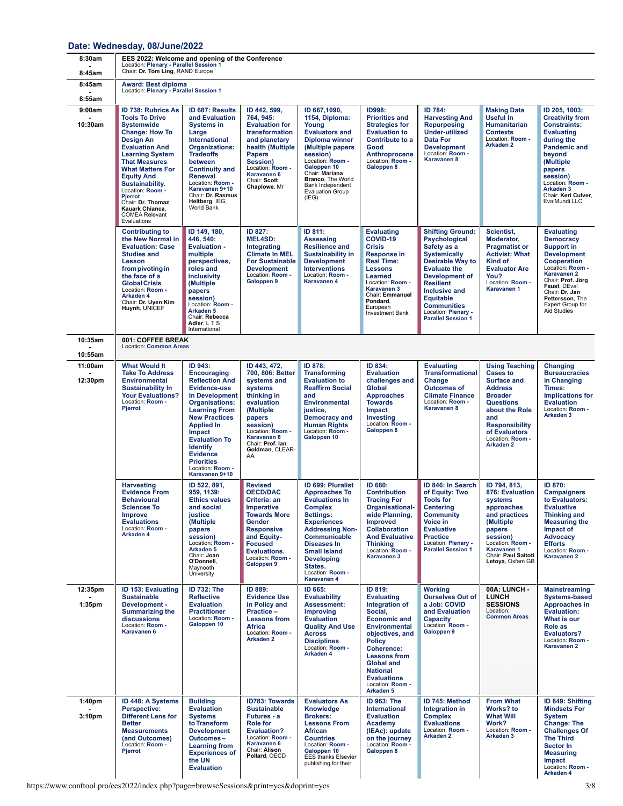#### **Date: Wednesday, [08/June/2022](https://www.conftool.pro/ees2022/index.php?page=browseSessions&print=yes&doprint=yes&form_date=2022-06-08)**

| 8:30am<br>8:45am             | EES 2022: Welcome and opening of the Conference<br>Location: Plenary - Parallel Session 1<br>Chair: Dr. Tom Ling, RAND Europe                                                                                                                                                                                                                                                     |                                                                                                                                                                                                                                                                                                                           |                                                                                                                                                                                                                        |                                                                                                                                                                                                                                                                                                 |                                                                                                                                                                                                                                                                                                    |                                                                                                                                                                                                                                                                                                     |                                                                                                                                                                                                                                   |                                                                                                                                                                                                                                                           |
|------------------------------|-----------------------------------------------------------------------------------------------------------------------------------------------------------------------------------------------------------------------------------------------------------------------------------------------------------------------------------------------------------------------------------|---------------------------------------------------------------------------------------------------------------------------------------------------------------------------------------------------------------------------------------------------------------------------------------------------------------------------|------------------------------------------------------------------------------------------------------------------------------------------------------------------------------------------------------------------------|-------------------------------------------------------------------------------------------------------------------------------------------------------------------------------------------------------------------------------------------------------------------------------------------------|----------------------------------------------------------------------------------------------------------------------------------------------------------------------------------------------------------------------------------------------------------------------------------------------------|-----------------------------------------------------------------------------------------------------------------------------------------------------------------------------------------------------------------------------------------------------------------------------------------------------|-----------------------------------------------------------------------------------------------------------------------------------------------------------------------------------------------------------------------------------|-----------------------------------------------------------------------------------------------------------------------------------------------------------------------------------------------------------------------------------------------------------|
| 8:45am                       | <b>Award: Best diploma</b><br>Location: Plenary - Parallel Session 1                                                                                                                                                                                                                                                                                                              |                                                                                                                                                                                                                                                                                                                           |                                                                                                                                                                                                                        |                                                                                                                                                                                                                                                                                                 |                                                                                                                                                                                                                                                                                                    |                                                                                                                                                                                                                                                                                                     |                                                                                                                                                                                                                                   |                                                                                                                                                                                                                                                           |
| 8:55am<br>9:00am<br>10:30am  | ID 738: Rubrics As<br><b>Tools To Drive</b><br><b>Systemwide</b><br><b>Change: How To</b><br><b>Design An</b><br><b>Evaluation And</b><br><b>Learning System</b><br><b>That Measures</b><br><b>What Matters For</b><br><b>Equity And</b><br>Sustainability.<br>Location: Room -<br><b>Pjerrot</b><br>Chair: Dr. Thomaz<br>Kauark Chianca.<br><b>COMEA Relevant</b><br>Evaluations | <b>ID 687: Results</b><br>and Evaluation<br><b>Systems in</b><br>Large<br>International<br>Organizations:<br><b>Tradeoffs</b><br>between<br><b>Continuity and</b><br>Renewal<br>Location: Room -<br>Karavanen 9+10<br>Chair: Dr. Rasmus<br>Heltberg, IEG,<br>World Bank                                                   | ID 442, 599,<br>764, 945:<br><b>Evaluation for</b><br>transformation<br>and planetary<br>health (Multiple<br><b>Papers</b><br>Session)<br>Location: Room -<br>Karavanen 6<br>Chair: Scott<br>Chaplowe, Mr              | ID 667,1090,<br>1154, Diploma:<br>Young<br><b>Evaluators and</b><br><b>Diploma winner</b><br>(Multiple papers<br>session)<br>Location: Room -<br>Galoppen 10<br>Chair: Mariana<br>Branco, The World<br>Bank Independent<br>Evaluation Group<br>(IEG)                                            | ID998:<br><b>Priorities and</b><br><b>Strategies for</b><br><b>Evaluation to</b><br>Contribute to a<br>Good<br>Anthroprocene<br>Location: Room -<br>Galoppen 8                                                                                                                                     | ID 784:<br><b>Harvesting And</b><br><b>Repurposing</b><br><b>Under-utilized</b><br><b>Data For</b><br><b>Development</b><br>Location: Room -<br>Karavanen 8                                                                                                                                         | <b>Making Data</b><br><b>Useful In</b><br><b>Humanitarian</b><br><b>Contexts</b><br>Location: Room -<br>Arkaden 2                                                                                                                 | ID 205, 1003:<br><b>Creativity from</b><br><b>Constraints:</b><br><b>Evaluating</b><br>during the<br><b>Pandemic and</b><br>beyond<br>(Multiple<br>papers<br>session)<br>Location: Room -<br>Arkaden <sub>3</sub><br>Chair: Keri Culver,<br>EvalMundi LLC |
|                              | <b>Contributing to</b><br>the New Normal in<br><b>Evaluation: Case</b><br><b>Studies and</b><br>Lesson<br>from pivoting in<br>the face of a<br><b>Global Crisis</b><br>Location: Room -<br>Arkaden 4<br>Chair: Dr. Uyen Kim<br>Huynh, UNICEF                                                                                                                                      | ID 149, 180,<br>446, 540:<br><b>Evaluation -</b><br>multiple<br>perspectives,<br>roles and<br>inclusivity<br>(Multiple<br>papers<br>session)<br>Location: Room -<br>Arkaden <sub>5</sub><br>Chair: Rebecca<br>Adler, L T S<br>International                                                                               | ID 827:<br><b>MEL4SD:</b><br>Integrating<br><b>Climate In MEL</b><br><b>For Sustainable</b><br><b>Development</b><br>Location: Room -<br>Galoppen 9                                                                    | ID 811:<br><b>Assessing</b><br><b>Resilience and</b><br><b>Sustainability in</b><br><b>Development</b><br><b>Interventions</b><br>Location: Room -<br>Karavanen 4                                                                                                                               | <b>Evaluating</b><br>COVID-19<br><b>Crisis</b><br><b>Response in</b><br><b>Real Time:</b><br><b>Lessons</b><br>Learned<br>Location: Room -<br><b>Karavanen 3</b><br>Chair: Emmanuel<br>Pondard,<br>European<br><b>Investment Bank</b>                                                              | <b>Shifting Ground:</b><br><b>Psychological</b><br>Safety as a<br><b>Systemically</b><br>Desirable Way to<br><b>Evaluate the</b><br><b>Development of</b><br><b>Resilient</b><br><b>Inclusive and</b><br><b>Equitable</b><br><b>Communities</b><br>Location: Plenary -<br><b>Parallel Session 1</b> | Scientist,<br>Moderator,<br><b>Pragmatist or</b><br><b>Activist: What</b><br>Kind of<br><b>Evaluator Are</b><br>You?<br>Location: Room -<br>Karavanen 1                                                                           | <b>Evaluating</b><br><b>Democracy</b><br><b>Support in</b><br><b>Development</b><br>Cooperation<br>Location: Room -<br>Karavanen 2<br>Chair: Prof. Jörg<br>Faust, DEval<br>Chair: Dr. Jan<br>Pettersson, The<br>Expert Group for<br><b>Aid Studies</b>    |
| 10:35am<br>10:55am           | 001: COFFEE BREAK<br><b>Location: Common Areas</b>                                                                                                                                                                                                                                                                                                                                |                                                                                                                                                                                                                                                                                                                           |                                                                                                                                                                                                                        |                                                                                                                                                                                                                                                                                                 |                                                                                                                                                                                                                                                                                                    |                                                                                                                                                                                                                                                                                                     |                                                                                                                                                                                                                                   |                                                                                                                                                                                                                                                           |
| 11:00am<br>12:30pm           | <b>What Would It</b><br><b>Take To Address</b><br><b>Environmental</b><br><b>Sustainability In</b><br><b>Your Evaluations?</b><br>Location: Room -<br>Pjerrot                                                                                                                                                                                                                     | ID 943:<br><b>Encouraging</b><br><b>Reflection And</b><br>Evidence-use<br>In Development<br><b>Organisations:</b><br><b>Learning From</b><br><b>New Practices</b><br><b>Applied In</b><br>Impact<br><b>Evaluation To</b><br><b>Identify</b><br><b>Evidence</b><br><b>Priorities</b><br>Location: Room -<br>Karavanen 9+10 | ID 443, 472,<br>700, 806: Better<br>systems and<br>systems<br>thinking in<br>evaluation<br>(Multiple<br>papers<br>session)<br>Location: Room -<br>Karavanen 6<br>Chair: Prof. lan<br>Goldman, CLEAR-<br>AA             | ID 878:<br><b>Transforming</b><br><b>Evaluation to</b><br><b>Reaffirm Social</b><br>and<br><b>Environmental</b><br>justice,<br><b>Democracy and</b><br><b>Human Rights</b><br>Location: Room -<br>Galoppen 10                                                                                   | ID 834:<br><b>Evaluation</b><br>challenges and<br><b>Global</b><br><b>Approaches</b><br><b>Towards</b><br>Impact<br><b>Investing</b><br>Location: Room -<br>Galoppen 8                                                                                                                             | <b>Evaluating</b><br><b>Transformational</b><br>Change<br><b>Outcomes of</b><br><b>Climate Finance</b><br>Location: Room -<br>Karavanen 8                                                                                                                                                           | <b>Using Teaching</b><br><b>Cases to</b><br><b>Surface and</b><br><b>Address</b><br><b>Broader</b><br><b>Questions</b><br>about the Role<br>and<br><b>Responsibility</b><br>of Evaluators<br>Location: Room -<br><b>Arkaden 2</b> | Changing<br><b>Bureaucracies</b><br>in Changing<br>Times:<br><b>Implications for</b><br><b>Evaluation</b><br>Location: Room -<br>Arkaden 3                                                                                                                |
|                              | <b>Harvesting</b><br><b>Evidence From</b><br><b>Behavioural</b><br><b>Sciences To</b><br>Improve<br><b>Evaluations</b><br>Location: Room -<br>Arkaden 4                                                                                                                                                                                                                           | ID 522, 891,<br>959, 1139:<br><b>Ethics values</b><br>and social<br>justice<br>(Multiple<br>papers<br>session)<br>Location: Room -<br>Arkaden <sub>5</sub><br>Chair: Joan<br>O'Donnell,<br>Mavnooth<br>University                                                                                                         | <b>Revised</b><br><b>OECD/DAC</b><br>Criteria: an<br><b>Imperative</b><br><b>Towards More</b><br>Gender<br><b>Responsive</b><br>and Equity-<br><b>Focused</b><br><b>Evaluations.</b><br>Location: Room -<br>Galoppen 9 | <b>ID 699: Pluralist</b><br><b>Approaches To</b><br><b>Evaluations In</b><br><b>Complex</b><br>Settings:<br><b>Experiences</b><br><b>Addressing Non-</b><br><b>Communicable</b><br><b>Diseases In</b><br><b>Small Island</b><br><b>Developing</b><br>States.<br>Location: Room -<br>Karavanen 4 | ID 680:<br><b>Contribution</b><br><b>Tracing For</b><br>Organisational-<br>wide Planning,<br><b>Improved</b><br><b>Collaboration</b><br><b>And Evaluative</b><br><b>Thinking</b><br>Location: Room -<br>Karavanen 3                                                                                | ID 846: In Search<br>of Equity: Two<br><b>Tools for</b><br><b>Centering</b><br><b>Community</b><br>Voice in<br><b>Evaluative</b><br><b>Practice</b><br>Location: Plenary -<br><b>Parallel Session 1</b>                                                                                             | ID 794, 813,<br>876: Evaluation<br>systems<br>approaches<br>and practices<br>(Multiple<br>papers<br>session)<br>Location: Room -<br><b>Karavanen 1</b><br>Chair: Paul Saitoti<br>Letoya, Oxfam GB                                 | ID 870:<br><b>Campaigners</b><br>to Evaluators:<br><b>Evaluative</b><br><b>Thinking and</b><br><b>Measuring the</b><br>Impact of<br><b>Advocacy</b><br><b>Efforts</b><br>Location: Room -<br>Karavanen 2                                                  |
| 12:35pm<br>1:35pm            | ID 153: Evaluating<br><b>Sustainable</b><br>Development -<br><b>Summarizing the</b><br>discussions<br>Location: Room -<br>Karavanen 6                                                                                                                                                                                                                                             | <b>ID 732: The</b><br><b>Reflective</b><br><b>Evaluation</b><br><b>Practitioner</b><br>Location: Room -<br>Galoppen 10                                                                                                                                                                                                    | ID 889:<br><b>Evidence Use</b><br>in Policy and<br>Practice-<br><b>Lessons from</b><br>Africa<br>Location: Room -<br><b>Arkaden 2</b>                                                                                  | ID 665:<br>Evaluability<br>Assessment:<br><b>Improving</b><br><b>Evaluation</b><br><b>Quality And Use</b><br><b>Across</b><br><b>Disciplines</b><br>Location: Room -<br>Arkaden 4                                                                                                               | ID 819:<br><b>Evaluating</b><br>Integration of<br>Social,<br><b>Economic and</b><br><b>Environmental</b><br>objectives, and<br><b>Policy</b><br><b>Coherence:</b><br><b>Lessons from</b><br><b>Global and</b><br><b>National</b><br><b>Evaluations</b><br>Location: Room -<br>Arkaden <sub>5</sub> | <b>Working</b><br><b>Ourselves Out of</b><br>a Job: COVID<br>and Evaluation<br>Capacity<br>Location: Room -<br>Galoppen 9                                                                                                                                                                           | 00A: LUNCH -<br><b>LUNCH</b><br><b>SESSIONS</b><br>Location:<br><b>Common Areas</b>                                                                                                                                               | <b>Mainstreaming</b><br><b>Systems-based</b><br>Approaches in<br><b>Evaluation:</b><br>What is our<br><b>Role as</b><br><b>Evaluators?</b><br>Location: Room -<br>Karavanen 2                                                                             |
| 1:40 <sub>pm</sub><br>3:10pm | ID 448: A Systems<br>Perspective:<br><b>Different Lens for</b><br><b>Better</b><br><b>Measurements</b><br>(and Outcomes)<br>Location: Room -<br>Pjerrot                                                                                                                                                                                                                           | <b>Building</b><br><b>Evaluation</b><br><b>Systems</b><br>to Transform<br><b>Development</b><br>Outcomes-<br><b>Learning from</b><br><b>Experiences of</b><br>the UN<br><b>Evaluation</b>                                                                                                                                 | <b>ID783: Towards</b><br><b>Sustainable</b><br>Futures - a<br><b>Role for</b><br><b>Evaluation?</b><br>Location: Room -<br>Karavanen 6<br>Chair: Alison<br>Pollard, OECD                                               | <b>Evaluators As</b><br>Knowledge<br><b>Brokers:</b><br><b>Lessons From</b><br>African<br><b>Countries</b><br>Location: Room -<br>Galoppen 10<br><b>EES</b> thanks Elsevier<br>publishing for their                                                                                             | ID 963: The<br>International<br><b>Evaluation</b><br><b>Academy</b><br>(IEAc): update<br>on the journey<br>Location: Room -<br>Galoppen 8                                                                                                                                                          | ID 745: Method<br>Integration in<br><b>Complex</b><br><b>Evaluations</b><br>Location: Room -<br><b>Arkaden 2</b>                                                                                                                                                                                    | <b>From What</b><br>Works? to<br><b>What Will</b><br>Work?<br>Location: Room -<br>Arkaden <sub>3</sub>                                                                                                                            | ID 849: Shifting<br><b>Mindsets For</b><br><b>System</b><br><b>Change: The</b><br><b>Challenges Of</b><br><b>The Third</b><br>Sector In<br><b>Measuring</b><br>Impact<br>Location: Room -<br>Arkaden 4                                                    |

https://www.conftool.pro/ees2022/index.php?page=browseSessions&print=yes&doprint=yes 3/8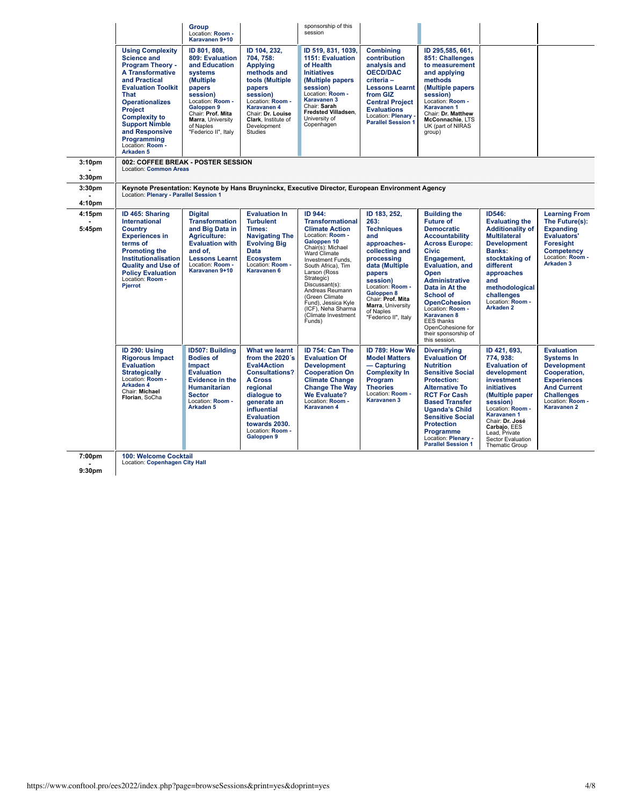|                                          |                                                                                                                                                                                                                                                                                                                                            | <b>Group</b><br>Location: Room -<br>Karavanen 9+10                                                                                                                                                              |                                                                                                                                                                                                                                            | sponsorship of this<br>session                                                                                                                                                                                                                                                                                                                    |                                                                                                                                                                                                                                                          |                                                                                                                                                                                                                                                                                                                                                                                      |                                                                                                                                                                                                                                                            |                                                                                                                                                                                         |
|------------------------------------------|--------------------------------------------------------------------------------------------------------------------------------------------------------------------------------------------------------------------------------------------------------------------------------------------------------------------------------------------|-----------------------------------------------------------------------------------------------------------------------------------------------------------------------------------------------------------------|--------------------------------------------------------------------------------------------------------------------------------------------------------------------------------------------------------------------------------------------|---------------------------------------------------------------------------------------------------------------------------------------------------------------------------------------------------------------------------------------------------------------------------------------------------------------------------------------------------|----------------------------------------------------------------------------------------------------------------------------------------------------------------------------------------------------------------------------------------------------------|--------------------------------------------------------------------------------------------------------------------------------------------------------------------------------------------------------------------------------------------------------------------------------------------------------------------------------------------------------------------------------------|------------------------------------------------------------------------------------------------------------------------------------------------------------------------------------------------------------------------------------------------------------|-----------------------------------------------------------------------------------------------------------------------------------------------------------------------------------------|
|                                          | <b>Using Complexity</b><br><b>Science and</b><br><b>Program Theory -</b><br><b>A Transformative</b><br>and Practical<br><b>Evaluation Toolkit</b><br><b>That</b><br><b>Operationalizes</b><br><b>Project</b><br><b>Complexity to</b><br><b>Support Nimble</b><br>and Responsive<br>Programming<br>Location: Room -<br>Arkaden <sub>5</sub> | ID 801, 808.<br>809: Evaluation<br>and Education<br>systems<br>(Multiple<br>papers<br>session)<br>Location: Room -<br>Galoppen 9<br>Chair: Prof. Mita<br>Marra, University<br>of Naples<br>"Federico II", Italy | ID 104, 232,<br>704, 758:<br><b>Applying</b><br>methods and<br>tools (Multiple)<br>papers<br>session)<br>Location: Room -<br>Karavanen 4<br>Chair: Dr. Louise<br>Clark, Institute of<br>Development<br>Studies                             | ID 519, 831, 1039,<br>1151: Evaluation<br>of Health<br><b>Initiatives</b><br>(Multiple papers)<br>session)<br>Location: Room -<br><b>Karavanen 3</b><br>Chair: Sarah<br>Fredsted Villadsen.<br>University of<br>Copenhagen                                                                                                                        | <b>Combining</b><br>contribution<br>analysis and<br><b>OECD/DAC</b><br>criteria-<br><b>Lessons Learnt</b><br>from GIZ<br><b>Central Project</b><br><b>Evaluations</b><br>Location: Plenary -<br><b>Parallel Session 1</b>                                | ID 295,585, 661,<br>851: Challenges<br>to measurement<br>and applying<br>methods<br>(Multiple papers<br>session)<br>Location: Room -<br>Karavanen 1<br>Chair: Dr. Matthew<br>McConnachie, LTS<br>UK (part of NIRAS<br>group)                                                                                                                                                         |                                                                                                                                                                                                                                                            |                                                                                                                                                                                         |
| 3:10 <sub>pm</sub><br>3:30 <sub>pm</sub> | 002: COFFEE BREAK - POSTER SESSION<br>Location: Common Areas                                                                                                                                                                                                                                                                               |                                                                                                                                                                                                                 |                                                                                                                                                                                                                                            |                                                                                                                                                                                                                                                                                                                                                   |                                                                                                                                                                                                                                                          |                                                                                                                                                                                                                                                                                                                                                                                      |                                                                                                                                                                                                                                                            |                                                                                                                                                                                         |
| 3:30 <sub>pm</sub><br>4:10pm             | Location: Plenary - Parallel Session 1                                                                                                                                                                                                                                                                                                     |                                                                                                                                                                                                                 |                                                                                                                                                                                                                                            | Keynote Presentation: Keynote by Hans Bruyninckx, Executive Director, European Environment Agency                                                                                                                                                                                                                                                 |                                                                                                                                                                                                                                                          |                                                                                                                                                                                                                                                                                                                                                                                      |                                                                                                                                                                                                                                                            |                                                                                                                                                                                         |
| 4:15pm<br>5:45pm                         | ID 465: Sharing<br><b>International</b><br><b>Country</b><br><b>Experiences in</b><br>terms of<br><b>Promoting the</b><br>Institutionalisation<br><b>Quality and Use of</b><br><b>Policy Evaluation</b><br>Location: Room -<br>Pjerrot                                                                                                     | <b>Digital</b><br><b>Transformation</b><br>and Big Data in<br>Agriculture:<br><b>Evaluation with</b><br>and of,<br><b>Lessons Learnt</b><br>Location: Room -<br>Karavanen 9+10                                  | <b>Evaluation In</b><br><b>Turbulent</b><br>Times:<br><b>Navigating The</b><br><b>Evolving Big</b><br><b>Data</b><br><b>Ecosystem</b><br>Location: Room -<br>Karavanen 6                                                                   | ID 944:<br><b>Transformational</b><br><b>Climate Action</b><br>Location: Room -<br>Galoppen 10<br>Chair(s): Michael<br>Ward Climate<br>Investment Funds.<br>South Africa), Tim<br>Larson (Ross<br>Strategic)<br>Discussant(s):<br>Andreas Reumann<br>(Green Climate<br>Fund), Jessica Kyle<br>(ICF), Neha Sharma<br>(Climate Investment<br>Funds) | ID 183, 252,<br>263:<br><b>Techniques</b><br>and<br>approaches-<br>collecting and<br>processing<br>data (Multiple<br>papers<br>session)<br>Location: Room -<br>Galoppen 8<br>Chair: Prof. Mita<br>Marra, University<br>of Naples<br>"Federico II", Italy | <b>Building the</b><br><b>Future of</b><br><b>Democratic</b><br><b>Accountability</b><br><b>Across Europe:</b><br><b>Civic</b><br>Engagement,<br><b>Evaluation, and</b><br>Open<br><b>Administrative</b><br>Data in At the<br>School of<br><b>OpenCohesion</b><br>Location: Room -<br>Karavanen 8<br><b>EES</b> thanks<br>OpenCohesione for<br>their sponsorship of<br>this session. | ID546:<br><b>Evaluating the</b><br><b>Additionality of</b><br><b>Multilateral</b><br><b>Development</b><br>Banks:<br>stocktaking of<br>different<br>approaches<br>and<br>methodological<br>challenges<br>Location: Room -<br>Arkaden 2                     | <b>Learning From</b><br>The Future(s):<br><b>Expanding</b><br>Evaluators'<br><b>Foresight</b><br><b>Competency</b><br>Location: Room -<br>Arkaden <sub>3</sub>                          |
|                                          | ID 290: Using<br><b>Rigorous Impact</b><br><b>Evaluation</b><br><b>Strategically</b><br>Location: Room -<br>Arkaden <sub>4</sub><br>Chair: Michael<br>Florian, SoCha                                                                                                                                                                       | ID507: Building<br><b>Bodies of</b><br><b>Impact</b><br><b>Evaluation</b><br>Evidence in the<br>Humanitarian<br><b>Sector</b><br>Location: Room -<br>Arkaden <sub>5</sub>                                       | What we learnt<br>from the 2020's<br><b>Eval4Action</b><br><b>Consultations?</b><br><b>A Cross</b><br>regional<br>dialogue to<br>generate an<br><b>influential</b><br><b>Evaluation</b><br>towards 2030.<br>Location: Room -<br>Galoppen 9 | ID 754: Can The<br><b>Evaluation Of</b><br><b>Development</b><br><b>Cooperation On</b><br><b>Climate Change</b><br><b>Change The Way</b><br><b>We Evaluate?</b><br>Location: Room -<br><b>Karavanen 4</b>                                                                                                                                         | ID 789: How We<br><b>Model Matters</b><br>— Capturing<br><b>Complexity In</b><br>Program<br><b>Theories</b><br>Location: Room -<br><b>Karavanen 3</b>                                                                                                    | <b>Diversifying</b><br><b>Evaluation Of</b><br><b>Nutrition</b><br><b>Sensitive Social</b><br><b>Protection:</b><br><b>Alternative To</b><br><b>RCT For Cash</b><br><b>Based Transfer</b><br><b>Uganda's Child</b><br><b>Sensitive Social</b><br><b>Protection</b><br><b>Programme</b><br>Location: Plenary -<br><b>Parallel Session 1</b>                                           | ID 421, 693,<br>774, 938:<br><b>Evaluation of</b><br>development<br>investment<br>initiatives<br>(Multiple paper<br>session)<br>Location: Room -<br>Karavanen 1<br>Chair: Dr. José<br>Carbajo, EES<br>Lead. Private<br>Sector Evaluation<br>Thematic Group | <b>Evaluation</b><br><b>Systems In</b><br><b>Development</b><br>Cooperation.<br><b>Experiences</b><br><b>And Current</b><br><b>Challenges</b><br>Location: Room -<br><b>Karavanen 2</b> |

**7:00pm 100: [Welcome](https://www.conftool.pro/ees2022/index.php?page=browseSessions&print=yes&doprint=yes&form_session=458) Cocktail** Location: **[Copenhagen](https://www.conftool.pro/ees2022/index.php?page=browseSessions&print=yes&doprint=yes&form_room=27) City Hall**

**- 9:30pm**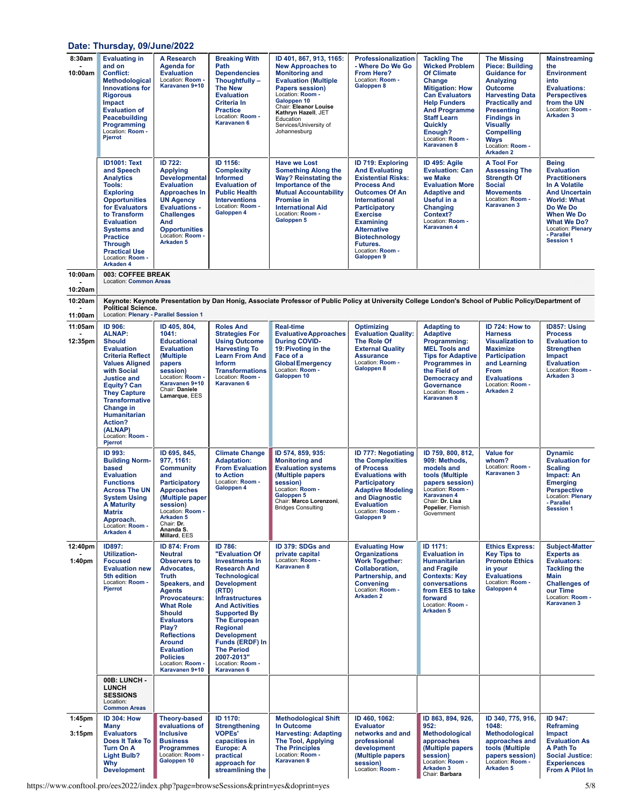## **Date: Thursday, [09/June/2022](https://www.conftool.pro/ees2022/index.php?page=browseSessions&print=yes&doprint=yes&form_date=2022-06-09)**

| 8:30am<br>10:00am             | <b>Evaluating in</b><br>and on<br><b>Conflict:</b><br>Methodological<br><b>Innovations for</b><br><b>Rigorous</b><br><b>Impact</b><br><b>Evaluation of</b><br>Peacebuilding<br>Programming<br>Location: Room -<br>Pjerrot                                                                                       | A Research<br><b>Agenda for</b><br><b>Evaluation</b><br>Location: Room -<br>Karavanen 9+10                                                                                                                                                                                                                                     | <b>Breaking With</b><br>Path<br><b>Dependencies</b><br>Thoughtfully -<br><b>The New</b><br><b>Evaluation</b><br><b>Criteria In</b><br><b>Practice</b><br>Location: Room -<br><b>Karavanen 6</b>                                                                                                                                                                     | ID 401, 867, 913, 1165:<br><b>New Approaches to</b><br><b>Monitoring and</b><br><b>Evaluation (Multiple</b><br><b>Papers session)</b><br>Location: Room -<br>Galoppen 10<br>Chair: Eleanor Louise<br>Kathryn Hazell, JET<br>Education<br>Services/University of<br>Johannesburg | Professionalization<br>- Where Do We Go<br>From Here?<br>Location: Room -<br>Galoppen 8                                                                                                                                                                                                                   | <b>Tackling The</b><br><b>Wicked Problem</b><br><b>Of Climate</b><br>Change<br><b>Mitigation: How</b><br><b>Can Evaluators</b><br><b>Help Funders</b><br><b>And Programme</b><br><b>Staff Learn</b><br>Quickly<br>Enough?<br>Location: Room -<br>Karavanen 8 | <b>The Missing</b><br><b>Piece: Building</b><br><b>Guidance for</b><br>Analyzing<br><b>Outcome</b><br><b>Harvesting Data</b><br><b>Practically and</b><br><b>Presenting</b><br><b>Findings in</b><br><b>Visually</b><br><b>Compelling</b><br><b>Ways</b><br>Location: Room -<br>Arkaden <sub>2</sub> | <b>Mainstreaming</b><br>the<br><b>Environment</b><br>into<br><b>Evaluations:</b><br><b>Perspectives</b><br>from the UN<br>Location: Room -<br>Arkaden <sub>3</sub>                                                              |
|-------------------------------|-----------------------------------------------------------------------------------------------------------------------------------------------------------------------------------------------------------------------------------------------------------------------------------------------------------------|--------------------------------------------------------------------------------------------------------------------------------------------------------------------------------------------------------------------------------------------------------------------------------------------------------------------------------|---------------------------------------------------------------------------------------------------------------------------------------------------------------------------------------------------------------------------------------------------------------------------------------------------------------------------------------------------------------------|---------------------------------------------------------------------------------------------------------------------------------------------------------------------------------------------------------------------------------------------------------------------------------|-----------------------------------------------------------------------------------------------------------------------------------------------------------------------------------------------------------------------------------------------------------------------------------------------------------|--------------------------------------------------------------------------------------------------------------------------------------------------------------------------------------------------------------------------------------------------------------|------------------------------------------------------------------------------------------------------------------------------------------------------------------------------------------------------------------------------------------------------------------------------------------------------|---------------------------------------------------------------------------------------------------------------------------------------------------------------------------------------------------------------------------------|
|                               | <b>ID1001: Text</b><br>and Speech<br><b>Analytics</b><br>Tools:<br><b>Exploring</b><br><b>Opportunities</b><br>for Evaluators<br>to Transform<br><b>Evaluation</b><br><b>Systems and</b><br><b>Practice</b><br><b>Through</b><br><b>Practical Use</b><br>Location: Room -<br>Arkaden 4                          | ID 722:<br><b>Applying</b><br><b>Developmental</b><br><b>Evaluation</b><br><b>Approaches In</b><br><b>UN Agency</b><br><b>Evaluations -</b><br><b>Challenges</b><br>And<br><b>Opportunities</b><br>Location: Room -<br>Arkaden <sub>5</sub>                                                                                    | ID 1156:<br><b>Complexity</b><br><b>Informed</b><br><b>Evaluation of</b><br><b>Public Health</b><br><b>Interventions</b><br>Location: Room -<br>Galoppen 4                                                                                                                                                                                                          | <b>Have we Lost</b><br><b>Something Along the</b><br><b>Way? Reinstating the</b><br>Importance of the<br><b>Mutual Accountability</b><br><b>Promise in</b><br><b>International Aid</b><br>Location: Room -<br>Galoppen 5                                                        | <b>ID 719: Exploring</b><br><b>And Evaluating</b><br><b>Existential Risks:</b><br><b>Process And</b><br><b>Outcomes Of An</b><br>International<br><b>Participatory</b><br><b>Exercise</b><br><b>Examining</b><br><b>Alternative</b><br><b>Biotechnology</b><br>Futures.<br>Location: Room -<br>Galoppen 9 | ID 495: Agile<br><b>Evaluation: Can</b><br>we Make<br><b>Evaluation More</b><br><b>Adaptive and</b><br>Useful in a<br>Changing<br>Context?<br>Location: Room -<br>Karavanen 4                                                                                | <b>A Tool For</b><br><b>Assessing The</b><br><b>Strength Of</b><br><b>Social</b><br><b>Movements</b><br>Location: Room -<br>Karavanen 3                                                                                                                                                              | <b>Being</b><br><b>Evaluation</b><br><b>Practitioners</b><br>In A Volatile<br><b>And Uncertain</b><br><b>World: What</b><br>Do We Do<br>When We Do<br><b>What We Do?</b><br>Location: Plenary<br>- Parallel<br><b>Session 1</b> |
| 10:00am<br>10:20am            | 003: COFFEE BREAK<br><b>Location: Common Areas</b>                                                                                                                                                                                                                                                              |                                                                                                                                                                                                                                                                                                                                |                                                                                                                                                                                                                                                                                                                                                                     |                                                                                                                                                                                                                                                                                 |                                                                                                                                                                                                                                                                                                           |                                                                                                                                                                                                                                                              |                                                                                                                                                                                                                                                                                                      |                                                                                                                                                                                                                                 |
| 10:20am                       | <b>Political Science.</b><br>Location: Plenary - Parallel Session 1                                                                                                                                                                                                                                             |                                                                                                                                                                                                                                                                                                                                |                                                                                                                                                                                                                                                                                                                                                                     | Keynote: Keynote Presentation by Dan Honig, Associate Professor of Public Policy at University College London's School of Public Policy/Department of                                                                                                                           |                                                                                                                                                                                                                                                                                                           |                                                                                                                                                                                                                                                              |                                                                                                                                                                                                                                                                                                      |                                                                                                                                                                                                                                 |
| 11:00am<br>11:05am<br>12:35pm | ID 906:<br><b>ALNAP:</b><br><b>Should</b><br><b>Evaluation</b><br><b>Criteria Reflect</b><br><b>Values Aligned</b><br>with Social<br><b>Justice and</b><br><b>Equity? Can</b><br><b>They Capture</b><br><b>Transformative</b><br>Change in<br>Humanitarian<br>Action?<br>(ALNAP)<br>Location: Room -<br>Pjerrot | ID 405, 804,<br>1041:<br><b>Educational</b><br><b>Evaluation</b><br>(Multiple<br>papers<br>session)<br>Location: Room -<br>Karavanen 9+10<br>Chair: Daniele<br>Lamarque, EES                                                                                                                                                   | <b>Roles And</b><br><b>Strategies For</b><br><b>Using Outcome</b><br><b>Harvesting To</b><br><b>Learn From And</b><br><b>Inform</b><br><b>Transformations</b><br>Location: Room -<br>Karavanen 6                                                                                                                                                                    | <b>Real-time</b><br><b>Evaluative Approaches</b><br><b>During COVID-</b><br>19: Pivoting in the<br>Face of a<br><b>Global Emergency</b><br>Location: Room -<br>Galoppen 10                                                                                                      | <b>Optimizing</b><br><b>Evaluation Quality:</b><br>The Role Of<br><b>External Quality</b><br><b>Assurance</b><br>Location: Room -<br>Galoppen 8                                                                                                                                                           | <b>Adapting to</b><br><b>Adaptive</b><br>Programming:<br><b>MEL Tools and</b><br><b>Tips for Adaptive</b><br><b>Programmes in</b><br>the Field of<br><b>Democracy and</b><br><b>Governance</b><br>Location: Room -<br>Karavanen 8                            | ID 724: How to<br><b>Harness</b><br><b>Visualization to</b><br><b>Maximize</b><br><b>Participation</b><br>and Learning<br>From<br><b>Evaluations</b><br>Location: Room -<br><b>Arkaden 2</b>                                                                                                         | ID857: Using<br><b>Process</b><br><b>Evaluation to</b><br><b>Strengthen</b><br><b>Impact</b><br><b>Evaluation</b><br>Location: Room -<br>Arkaden 3                                                                              |
|                               | ID 993:<br><b>Building Norm-</b><br>based<br><b>Evaluation</b><br><b>Functions</b><br><b>Across The UN</b><br><b>System Using</b><br><b>A Maturity</b><br>Matrix<br>Approach.<br>Location: Room -<br>Arkaden 4                                                                                                  | ID 695, 845,<br>977, 1161:<br><b>Community</b><br>and<br><b>Participatory</b><br><b>Approaches</b><br>(Multiple paper<br>session)<br>Location: Room -<br>Arkaden <sub>5</sub><br>Chair: Dr.<br>Ananda S.<br>Millard, EES                                                                                                       | <b>Climate Change</b><br><b>Adaptation:</b><br><b>From Evaluation</b><br>to Action<br>Location: Room -<br>Galoppen 4                                                                                                                                                                                                                                                | ID 574, 859, 935:<br><b>Monitoring and</b><br><b>Evaluation systems</b><br>(Multiple papers<br>session)<br>Location: Room -<br>Galoppen 5<br>Chair: Marco Lorenzoni,<br>Bridges Consumng                                                                                        | <b>ID 777: Negotiating</b><br>the Complexities<br>of Process<br><b>Evaluations with</b><br><b>Participatory</b><br><b>Adaptive Modeling</b><br>and Diagnostic<br><b>Evaluation</b><br>Location: Room -<br>Galoppen 9                                                                                      | ID 759, 800, 812,<br>909: Methods,<br>models and<br>tools (Multiple<br>papers session)<br>Location: Room -<br>Karavanen 4<br>Chair: Dr. Lisa<br>Popelier, Flemish<br>Government                                                                              | <b>Value for</b><br>whom?<br>Location: Room -<br>Karavanen 3                                                                                                                                                                                                                                         | <b>Dynamic</b><br><b>Evaluation for</b><br><b>Scaling</b><br>Impact: An<br><b>Emerging</b><br><b>Perspective</b><br>Location: Plenary<br>- Parallel<br><b>Session 1</b>                                                         |
| 12:40pm<br>1:40 <sub>pm</sub> | ID897:<br><b>Utilization-</b><br><b>Focused</b><br><b>Evaluation new</b><br>5th edition<br>Location: Room -<br>Pjerrot                                                                                                                                                                                          | ID 874: From<br><b>Neutral</b><br><b>Observers to</b><br>Advocates,<br><b>Truth</b><br>Speakers, and<br><b>Agents</b><br>Provocateurs:<br><b>What Role</b><br><b>Should</b><br><b>Evaluators</b><br>Play?<br><b>Reflections</b><br><b>Around</b><br><b>Evaluation</b><br><b>Policies</b><br>Location: Room -<br>Karavanen 9+10 | <b>ID 786:</b><br>"Evaluation Of<br><b>Investments In</b><br><b>Research And</b><br><b>Technological</b><br><b>Development</b><br>(RTD)<br><b>Infrastructures</b><br><b>And Activities</b><br><b>Supported By</b><br><b>The European</b><br>Regional<br><b>Development</b><br>Funds (ERDF) In<br><b>The Period</b><br>2007-2013"<br>Location: Room -<br>Karavanen 6 | ID 379: SDGs and<br>private capital<br>Location: Room -<br>Karavanen 8                                                                                                                                                                                                          | <b>Evaluating How</b><br><b>Organizations</b><br><b>Work Together:</b><br>Collaboration,<br>Partnership, and<br><b>Convening</b><br>Location: Room -<br>Arkaden <sub>2</sub>                                                                                                                              | ID 1171:<br><b>Evaluation in</b><br><b>Humanitarian</b><br>and Fragile<br><b>Contexts: Key</b><br>conversations<br>from EES to take<br>forward<br>Location: Room -<br>Arkaden <sub>5</sub>                                                                   | <b>Ethics Express:</b><br><b>Key Tips to</b><br><b>Promote Ethics</b><br>in your<br><b>Evaluations</b><br>Location: Room -<br>Galoppen 4                                                                                                                                                             | <b>Subject-Matter</b><br><b>Experts as</b><br><b>Evaluators:</b><br><b>Tackling the</b><br>Main<br><b>Challenges of</b><br>our Time<br>Location: Room -<br>Karavanen 3                                                          |
|                               | 00B: LUNCH -<br><b>LUNCH</b><br><b>SESSIONS</b><br>Location:<br><b>Common Areas</b>                                                                                                                                                                                                                             |                                                                                                                                                                                                                                                                                                                                |                                                                                                                                                                                                                                                                                                                                                                     |                                                                                                                                                                                                                                                                                 |                                                                                                                                                                                                                                                                                                           |                                                                                                                                                                                                                                                              |                                                                                                                                                                                                                                                                                                      |                                                                                                                                                                                                                                 |
| 1:45pm<br>3:15 <sub>pm</sub>  | <b>ID 304: How</b><br>Many<br><b>Evaluators</b><br>Does It Take To<br><b>Turn On A</b><br><b>Light Bulb?</b><br>Why<br><b>Development</b>                                                                                                                                                                       | <b>Theory-based</b><br>evaluations of<br><b>Inclusive</b><br><b>Business</b><br><b>Programmes</b><br>Location: Room -<br>Galoppen 10                                                                                                                                                                                           | ID 1170:<br><b>Strengthening</b><br><b>VOPEs'</b><br>capacities in<br>Europe: A<br>practical<br>approach for<br>streamlining the                                                                                                                                                                                                                                    | <b>Methodological Shift</b><br>In Outcome<br><b>Harvesting: Adapting</b><br>The Tool, Applying<br><b>The Principles</b><br>Location: Room -<br>Karavanen 8                                                                                                                      | ID 460, 1062:<br><b>Evaluator</b><br>networks and and<br>professional<br>development<br>(Multiple papers<br>session)<br>Location: Room -                                                                                                                                                                  | ID 863, 894, 926,<br>952:<br>Methodological<br>approaches<br>(Multiple papers<br>session)<br>Location: Room -<br>Arkaden 3<br>Chair: Barbara                                                                                                                 | ID 340, 775, 916,<br>1048:<br>Methodological<br>approaches and<br>tools (Multiple<br>papers session)<br>Location: Room -<br>Arkaden <sub>5</sub>                                                                                                                                                     | ID 947:<br>Reframing<br>Impact<br><b>Evaluation As</b><br>A Path To<br><b>Social Justice:</b><br><b>Experiences</b><br><b>From A Pilot In</b>                                                                                   |

https://www.conftool.pro/ees2022/index.php?page=browseSessions&print=yes&doprint=yes 5/8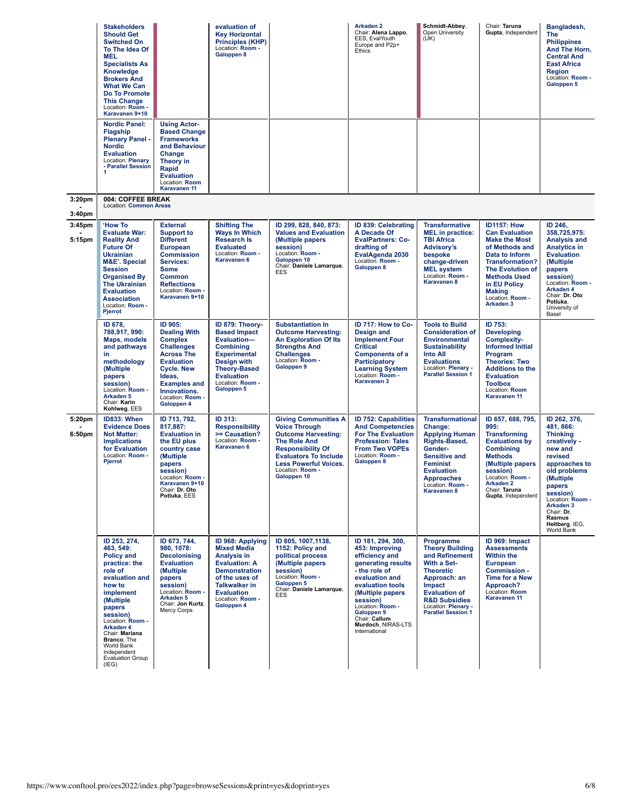|                                          | <b>Stakeholders</b><br><b>Should Get</b><br><b>Switched On</b><br>To The Idea Of<br><b>MEL</b><br><b>Specialists As</b><br>Knowledge<br><b>Brokers And</b><br><b>What We Can</b><br>Do To Promote<br><b>This Change</b><br>Location: Room -<br>Karavanen 9+10                             |                                                                                                                                                                                                                         | evaluation of<br><b>Key Horizontal</b><br><b>Principles (KHP)</b><br>Location: Room -<br>Galoppen 8                                                                                                           |                                                                                                                                                                                                                                         | <b>Arkaden 2</b><br>Chair: Alena Lappo,<br>EES, EvalYouth<br>Europe and P2p+<br>Ethics                                                                                                                                                                       | Schmidt-Abbev.<br>Open University<br>(UK)                                                                                                                                                                                  | Chair: Taruna<br>Gupta, Independent                                                                                                                                                                                                                   | Bangladesh,<br><b>The</b><br><b>Philippines</b><br>And The Horn,<br><b>Central And</b><br><b>East Africa</b><br>Region<br>Location: Room -<br>Galoppen 5                                                                                        |
|------------------------------------------|-------------------------------------------------------------------------------------------------------------------------------------------------------------------------------------------------------------------------------------------------------------------------------------------|-------------------------------------------------------------------------------------------------------------------------------------------------------------------------------------------------------------------------|---------------------------------------------------------------------------------------------------------------------------------------------------------------------------------------------------------------|-----------------------------------------------------------------------------------------------------------------------------------------------------------------------------------------------------------------------------------------|--------------------------------------------------------------------------------------------------------------------------------------------------------------------------------------------------------------------------------------------------------------|----------------------------------------------------------------------------------------------------------------------------------------------------------------------------------------------------------------------------|-------------------------------------------------------------------------------------------------------------------------------------------------------------------------------------------------------------------------------------------------------|-------------------------------------------------------------------------------------------------------------------------------------------------------------------------------------------------------------------------------------------------|
|                                          | <b>Nordic Panel:</b><br>Flagship<br><b>Plenary Panel -</b><br><b>Nordic</b><br><b>Evaluation</b><br>Location: Plenary<br>- Parallel Session<br>1                                                                                                                                          | <b>Using Actor-</b><br><b>Based Change</b><br><b>Frameworks</b><br>and Behaviour<br>Change<br>Theory in<br>Rapid<br><b>Evaluation</b><br>Location: Room<br>Karavanen 11                                                 |                                                                                                                                                                                                               |                                                                                                                                                                                                                                         |                                                                                                                                                                                                                                                              |                                                                                                                                                                                                                            |                                                                                                                                                                                                                                                       |                                                                                                                                                                                                                                                 |
| 3:20 <sub>pm</sub><br>3:40 <sub>pm</sub> | 004: COFFEE BREAK<br>Location: Common Areas                                                                                                                                                                                                                                               |                                                                                                                                                                                                                         |                                                                                                                                                                                                               |                                                                                                                                                                                                                                         |                                                                                                                                                                                                                                                              |                                                                                                                                                                                                                            |                                                                                                                                                                                                                                                       |                                                                                                                                                                                                                                                 |
| 3:45pm<br>5:15pm                         | <b>'How To</b><br><b>Evaluate War:</b><br><b>Reality And</b><br><b>Future Of</b><br><b>Ukrainian</b><br><b>M&amp;E'. Special</b><br><b>Session</b><br><b>Organised By</b><br><b>The Ukrainian</b><br><b>Evaluation</b><br><b>Association</b><br>Location: Room -<br>Pjerrot               | <b>External</b><br><b>Support to</b><br><b>Different</b><br><b>European</b><br><b>Commission</b><br>Services:<br><b>Some</b><br><b>Common</b><br><b>Reflections</b><br>Location: Room -<br>Karavanen 9+10               | <b>Shifting The</b><br><b>Ways In Which</b><br><b>Research Is</b><br><b>Evaluated</b><br>Location: Room -<br><b>Karavanen 6</b>                                                                               | ID 299, 828, 840, 873:<br><b>Values and Evaluation</b><br>(Multiple papers)<br>session)<br>Location: Room -<br>Galoppen 10<br>Chair: Daniele Lamarque,<br>EES                                                                           | <b>ID 839: Celebrating</b><br>A Decade Of<br><b>EvalPartners: Co-</b><br>drafting of<br>EvalAgenda 2030<br>Location: Room -<br>Galoppen 8                                                                                                                    | <b>Transformative</b><br><b>MEL</b> in practice:<br><b>TBI Africa</b><br><b>Advisory's</b><br>bespoke<br>change-driven<br><b>MEL system</b><br>Location: Room -<br>Karavanen 8                                             | <b>ID1157: How</b><br><b>Can Evaluation</b><br><b>Make the Most</b><br>of Methods and<br>Data to Inform<br><b>Transformation?</b><br><b>The Evolution of</b><br><b>Methods Used</b><br>in EU Policy<br><b>Making</b><br>Location: Room -<br>Arkaden 3 | ID 246,<br>358,725,975:<br><b>Analysis and</b><br><b>Analytics in</b><br><b>Evaluation</b><br>(Multiple<br>papers<br>session)<br>Location: Room -<br>Arkaden 4<br>Chair: Dr. Oto<br>Potluka,<br>University of<br>Basel                          |
|                                          | ID 678,<br>788,917, 990:<br>Maps, models<br>and pathways<br>in<br>methodology<br>(Multiple<br>papers<br>session)<br>Location: Room -<br>Arkaden <sub>5</sub><br>Chair: Karin<br>Kohlweg, EES                                                                                              | ID 905:<br><b>Dealing With</b><br><b>Complex</b><br><b>Challenges</b><br><b>Across The</b><br><b>Evaluation</b><br><b>Cycle. New</b><br>Ideas,<br><b>Examples and</b><br>Innovations.<br>Location: Room -<br>Galoppen 4 | ID 879: Theory-<br><b>Based Impact</b><br>Evaluation-<br><b>Combining</b><br><b>Experimental</b><br>Design with<br><b>Theory-Based</b><br><b>Evaluation</b><br>Location: Room -<br>Galoppen 5                 | <b>Substantiation In</b><br><b>Outcome Harvesting:</b><br><b>An Exploration Of Its</b><br><b>Strengths And</b><br><b>Challenges</b><br>Location: Room -<br>Galoppen 9                                                                   | ID 717: How to Co-<br><b>Design and</b><br><b>Implement Four</b><br><b>Critical</b><br><b>Components of a</b><br><b>Participatory</b><br><b>Learning System</b><br>Location: Room -<br>Karavanen 3                                                           | <b>Tools to Build</b><br><b>Consideration of</b><br><b>Environmental</b><br><b>Sustainability</b><br><b>Into All</b><br><b>Evaluations</b><br>Location: Plenary -<br><b>Parallel Session 1</b>                             | ID 753:<br><b>Developing</b><br><b>Complexity-</b><br><b>Informed Initial</b><br>Program<br><b>Theories: Two</b><br><b>Additions to the</b><br><b>Evaluation</b><br><b>Toolbox</b><br>Location: Room<br>Karavanen 11                                  |                                                                                                                                                                                                                                                 |
| 5:20pm<br>6:50pm                         | ID833: When<br><b>Evidence Does</b><br><b>Not Matter:</b><br><b>Implications</b><br>for Evaluation<br>Location: Room -<br><b>Pjerrot</b>                                                                                                                                                  | ID 713, 792,<br>817,887:<br><b>Evaluation in</b><br>the EU plus<br>country case<br>(Multiple<br>papers<br>session)<br>Location: Room<br>Karavanen 9+10<br>Chair: Dr. Oto<br>Potluka, EES                                | ID 313:<br><b>Responsibility</b><br>>= Causation?<br>Location: Room -<br>Karavanen 6                                                                                                                          | <b>Giving Communities A</b><br><b>Voice Through</b><br><b>Outcome Harvesting:</b><br><b>The Role And</b><br><b>Responsibility Of</b><br><b>Evaluators To Include</b><br><b>Less Powerful Voices.</b><br>Location: Room -<br>Galoppen 10 | <b>ID 752: Capabilities</b><br><b>And Competencies</b><br><b>For The Evaluation</b><br><b>Profession: Tales</b><br><b>From Two VOPEs</b><br>Location: Room -<br>Galoppen 8                                                                                   | <b>Transformational</b><br>Change:<br><b>Applying Human</b><br>Rights-Based,<br>Gender-<br><b>Sensitive and</b><br><b>Feminist</b><br><b>Evaluation</b><br>Approacnes<br>Location: Room -<br>Karavanen 8                   | ID 657, 688, 795,<br>995:<br><b>Transforming</b><br><b>Evaluations by</b><br><b>Combining</b><br><b>Methods</b><br>(Multiple papers<br>session)<br>Location: Room<br>Arkaden 2<br>Chair: Taruna<br>Gupta, Independent                                 | ID 262, 376,<br>481, 866:<br><b>Thinking</b><br>creatively -<br>new and<br>revised<br>approaches to<br>old problems<br>(Multiple<br>papers<br>session)<br>Location: Room -<br>Arkaden 3<br>Chair: Dr.<br>Rasmus<br>Heltberg, IEG,<br>World Bank |
|                                          | ID 253, 274,<br>463, 549:<br><b>Policy and</b><br>practice: the<br>role of<br>evaluation and<br>how to<br>implement<br>(Multiple<br>papers<br>session)<br>Location: Room -<br>Arkaden 4<br>Chair: Mariana<br>Branco, The<br>World Bank<br>Independent<br><b>Evaluation Group</b><br>(IEG) | ID 673, 744,<br>980, 1078:<br><b>Decolonising</b><br><b>Evaluation</b><br>(Multiple<br>papers<br>session)<br>Location: Room -<br>Arkaden <sub>5</sub><br>Chair: Jon Kurtz,<br>Mercy Corps                               | ID 968: Applying<br><b>Mixed Media</b><br><b>Analysis in</b><br><b>Evaluation: A</b><br><b>Demonstration</b><br>of the uses of<br><b>Talkwalker in</b><br><b>Evaluation</b><br>Location: Room -<br>Galoppen 4 | ID 805, 1007, 1138,<br>1152: Policy and<br>political process<br>(Multiple papers<br>session)<br>Location: Room -<br>Galoppen 5<br>Chair: Daniele Lamarque,<br>EES                                                                       | ID 181, 294, 300,<br>453: Improving<br>efficiency and<br>generating results<br>- the role of<br>evaluation and<br>evaluation tools<br>(Multiple papers<br>session)<br>Location: Room -<br>Galoppen 9<br>Chair: Callum<br>Murdoch, NIRAS-LTS<br>International | Programme<br><b>Theory Building</b><br>and Refinement<br>With a Set-<br><b>Theoretic</b><br>Approach: an<br>Impact<br><b>Evaluation of</b><br><b>R&amp;D Subsidies</b><br>Location: Plenary -<br><b>Parallel Session 1</b> | ID 969: Impact<br><b>Assessments</b><br><b>Within the</b><br><b>European</b><br>Commission -<br><b>Time for a New</b><br>Approach?<br>Location: Room<br>Karavanen 11                                                                                  |                                                                                                                                                                                                                                                 |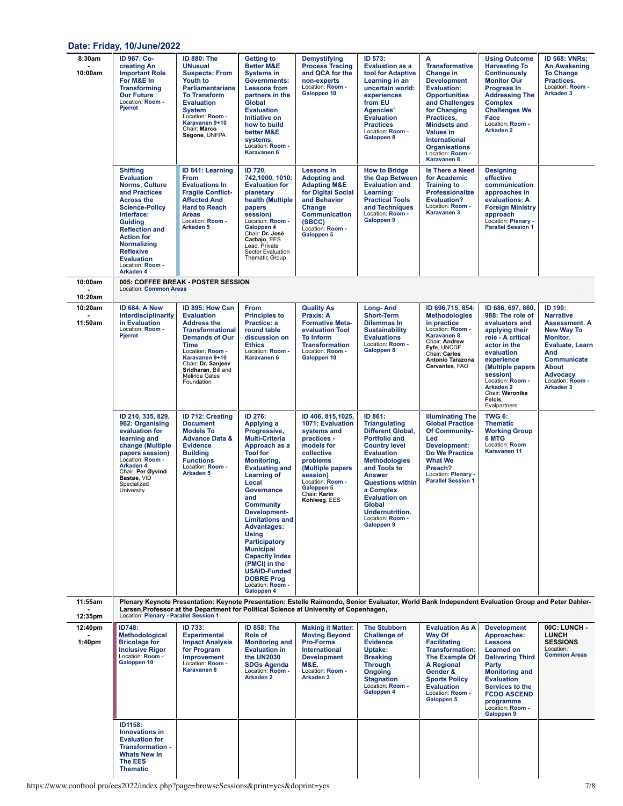#### **Date: Friday, [10/June/2022](https://www.conftool.pro/ees2022/index.php?page=browseSessions&print=yes&doprint=yes&form_date=2022-06-10)**

| 8:30am<br>10:00am             | ID 967: Co-<br>creating An<br><b>Important Role</b><br>For M&E In<br><b>Transforming</b><br><b>Our Future</b><br>Location: Room -<br>Pjerrot                                                                                                                                                               | <b>ID 880: The</b><br><b>UNusual</b><br><b>Suspects: From</b><br>Youth to<br><b>Parliamentarians</b><br><b>To Transform</b><br><b>Evaluation</b><br><b>System</b><br>Location: Room -<br>Karavanen 9+10<br>Chair: Marco<br>Segone, UNFPA        | <b>Getting to</b><br><b>Better M&amp;E</b><br><b>Systems in</b><br>Governments:<br><b>Lessons from</b><br>partners in the<br>Global<br><b>Evaluation</b><br>Initiative on<br>how to build<br>better M&E<br>systems.<br>Location: Room -<br>Karavanen 6                                                                                                                                                                                                                        | <b>Demystifying</b><br><b>Process Tracing</b><br>and QCA for the<br>non-experts<br>Location: Room -<br>Galoppen 10                                                                                                                         | ID 573:<br><b>Evaluation as a</b><br>tool for Adaptive<br>Learning in an<br>uncertain world:<br>experiences<br>from EU<br>Agencies'<br><b>Evaluation</b><br><b>Practices</b><br>Location: Room -<br>Galoppen 8                                                                                                           | A<br><b>Transformative</b><br>Change in<br><b>Development</b><br><b>Evaluation:</b><br><b>Opportunities</b><br>and Challenges<br>for Changing<br>Practices,<br><b>Mindsets and</b><br><b>Values in</b><br>International<br><b>Organisations</b><br>Location: Room -<br>Karavanen 8 | <b>Using Outcome</b><br><b>Harvesting To</b><br><b>Continuously</b><br><b>Monitor Our</b><br><b>Progress In</b><br><b>Addressing The</b><br><b>Complex</b><br><b>Challenges We</b><br>Face<br>Location: Room -<br><b>Arkaden 2</b>                                   | <b>ID 568: VNRs:</b><br>An Awakening<br><b>To Change</b><br>Practices.<br>Location: Room -<br>Arkaden <sub>3</sub>                                                                                                         |
|-------------------------------|------------------------------------------------------------------------------------------------------------------------------------------------------------------------------------------------------------------------------------------------------------------------------------------------------------|-------------------------------------------------------------------------------------------------------------------------------------------------------------------------------------------------------------------------------------------------|-------------------------------------------------------------------------------------------------------------------------------------------------------------------------------------------------------------------------------------------------------------------------------------------------------------------------------------------------------------------------------------------------------------------------------------------------------------------------------|--------------------------------------------------------------------------------------------------------------------------------------------------------------------------------------------------------------------------------------------|--------------------------------------------------------------------------------------------------------------------------------------------------------------------------------------------------------------------------------------------------------------------------------------------------------------------------|------------------------------------------------------------------------------------------------------------------------------------------------------------------------------------------------------------------------------------------------------------------------------------|----------------------------------------------------------------------------------------------------------------------------------------------------------------------------------------------------------------------------------------------------------------------|----------------------------------------------------------------------------------------------------------------------------------------------------------------------------------------------------------------------------|
|                               | <b>Shifting</b><br><b>Evaluation</b><br><b>Norms, Culture</b><br>and Practices<br><b>Across the</b><br><b>Science-Policy</b><br>Interface:<br><b>Guiding</b><br><b>Reflection and</b><br><b>Action for</b><br><b>Normalizing</b><br><b>Reflexive</b><br><b>Evaluation</b><br>Location: Room -<br>Arkaden 4 | ID 841: Learning<br><b>From</b><br><b>Evaluations In</b><br><b>Fragile Conflict-</b><br><b>Affected And</b><br><b>Hard to Reach</b><br><b>Areas</b><br>Location: Room -<br>Arkaden <sub>5</sub>                                                 | ID 720,<br>742,1000, 1010:<br><b>Evaluation for</b><br>planetary<br>health (Multiple<br>papers<br>session)<br>Location: Room -<br>Galoppen 4<br>Chair: Dr. José<br>Carbajo, EES<br>Lead, Private<br>Sector Evaluation<br>Thematic Group                                                                                                                                                                                                                                       | <b>Lessons in</b><br><b>Adopting and</b><br><b>Adapting M&amp;E</b><br>for Digital Social<br>and Behavior<br>Change<br><b>Communication</b><br>(SBCC)<br>Location: Room -<br>Galoppen 5                                                    | <b>How to Bridge</b><br>the Gap Between<br><b>Evaluation and</b><br>Learning:<br><b>Practical Tools</b><br>and Techniques<br>Location: Room -<br>Galoppen 9                                                                                                                                                              | <b>Is There a Need</b><br>for Academic<br><b>Training to</b><br><b>Professionalize</b><br><b>Evaluation?</b><br>Location: Room -<br>Karavanen 3                                                                                                                                    | <b>Designing</b><br>effective<br>communication<br>approaches in<br>evaluations: A<br><b>Foreign Ministry</b><br>approach<br>Location: Plenary -<br><b>Parallel Session 1</b>                                                                                         |                                                                                                                                                                                                                            |
| 10:00am                       | <b>Location: Common Areas</b>                                                                                                                                                                                                                                                                              | 005: COFFEE BREAK - POSTER SESSION                                                                                                                                                                                                              |                                                                                                                                                                                                                                                                                                                                                                                                                                                                               |                                                                                                                                                                                                                                            |                                                                                                                                                                                                                                                                                                                          |                                                                                                                                                                                                                                                                                    |                                                                                                                                                                                                                                                                      |                                                                                                                                                                                                                            |
| 10:20am<br>10:20am<br>11:50am | ID 684: A New<br>Interdisciplinarity<br>in Evaluation<br>Location: Room -<br>Pjerrot                                                                                                                                                                                                                       | ID 895: How Can<br><b>Evaluation</b><br><b>Address the</b><br><b>Transformational</b><br><b>Demands of Our</b><br><b>Time</b><br>Location: Room -<br>Karavanen 9+10<br>Chair: Dr. Sanjeev<br>Sridharan, Bill and<br>Melinda Gates<br>Foundation | From<br><b>Principles to</b><br>Practice: a<br>round table<br>discussion on<br><b>Ethics</b><br>Location: Room -<br>Karavanen 6                                                                                                                                                                                                                                                                                                                                               | <b>Quality As</b><br>Praxis: A<br><b>Formative Meta-</b><br>evaluation Tool<br><b>To Inform</b><br><b>Transformation</b><br>Location: Room -<br>Galoppen 10                                                                                | <b>Long-And</b><br><b>Short-Term</b><br><b>Dilemmas In</b><br><b>Sustainability</b><br><b>Evaluations</b><br>Location: Room -<br>Galoppen 8                                                                                                                                                                              | ID 696,715, 854:<br><b>Methodologies</b><br>in practice<br>Location: Room -<br><b>Karavanen 8</b><br>Chair: Andrew<br>Fyfe, UNCDF<br>Chair: Carlos<br>Antonio Tarazona<br>Cervantes, FAO                                                                                           | ID 686, 697, 860,<br>988: The role of<br>evaluators and<br>applying their<br>role - A critical<br>actor in the<br>evaluation<br>experience<br>(Multiple papers<br>session)<br>Location: Room -<br>Arkaden <sub>2</sub><br>Chair: Weronika<br>Felcis,<br>Evalpartners | ID 190:<br><b>Narrative</b><br><b>Assessment. A</b><br><b>New Way To</b><br><b>Monitor,</b><br><b>Evaluate, Learn</b><br>And<br>Communicate<br><b>About</b><br><b>Advocacy</b><br>Location: Room -<br>Arkaden <sub>3</sub> |
|                               | ID 210, 335, 829,<br>962: Organising<br>evaluation for<br>learning and<br>change (Multiple<br>papers session)<br>Location: Room -<br>Arkaden 4<br>Chair: Per Øyvind<br>Bastøe, VID<br>Specialized<br>University                                                                                            | <b>ID 712: Creating</b><br><b>Document</b><br><b>Models To</b><br><b>Advance Data &amp;</b><br><b>Evidence</b><br><b>Building</b><br><b>Functions</b><br>Location: Room -<br>Arkaden <sub>5</sub>                                               | ID 276:<br>Applying a<br>Progressive,<br><b>Multi-Criteria</b><br>Approach as a<br><b>Tool for</b><br>Monitoring,<br><b>Evaluating and</b><br><b>Learning of</b><br>Local<br>Governance<br>and<br><b>Community</b><br><b>Development-</b><br><b>Limitations and</b><br><b>Advantages:</b><br><b>Using</b><br><b>Participatory</b><br><b>Municipal</b><br><b>Capacity Index</b><br>(PMCI) in the<br><b>USAID-Funded</b><br><b>DOBRE Prog</b><br>Location: Room -<br>Galoppen 4 | ID 406, 815, 1025,<br>1071: Evaluation<br>systems and<br>practices -<br>models for<br>collective<br>problems<br>(Multiple papers)<br>session)<br>Location: Room -<br>Galoppen 5<br>Chair: Karin<br>Kohlweg, EES                            | ID 861:<br><b>Triangulating</b><br>Different Global,<br><b>Portfolio and</b><br><b>Country level</b><br><b>Evaluation</b><br><b>Methodologies</b><br>and Tools to<br><b>Answer</b><br><b>Questions within</b><br>a Complex<br><b>Evaluation on</b><br>Global<br><b>Undernutrition.</b><br>Location: Room -<br>Galoppen 9 | <b>Illuminating The</b><br><b>Global Practice</b><br>Of Community-<br>Led<br>Development:<br><b>Do We Practice</b><br><b>What We</b><br>Preach?<br>Location: Plenary -<br><b>Parallel Session 1</b>                                                                                | TWG 6:<br><b>Thematic</b><br><b>Working Group</b><br>6 MTG<br>Location: Room<br><b>Karavanen 11</b>                                                                                                                                                                  |                                                                                                                                                                                                                            |
| 11:55am<br>12:35pm            | Location: Plenary - Parallel Session 1                                                                                                                                                                                                                                                                     |                                                                                                                                                                                                                                                 |                                                                                                                                                                                                                                                                                                                                                                                                                                                                               | Plenary Keynote Presentation: Keynote Presentation: Estelle Raimondo, Senior Evaluator, World Bank Independent Evaluation Group and Peter Dahler-<br>Larsen.Professor at the Department for Political Science at University of Copenhagen. |                                                                                                                                                                                                                                                                                                                          |                                                                                                                                                                                                                                                                                    |                                                                                                                                                                                                                                                                      |                                                                                                                                                                                                                            |
| 12:40pm<br>1:40 <sub>pm</sub> | <b>ID748:</b><br><b>Methodological</b><br><b>Bricolage for</b><br><b>Inclusive Rigor</b><br>Location: Room -<br>Galoppen 10                                                                                                                                                                                | ID 733:<br><b>Experimental</b><br><b>Impact Analysis</b><br>for Program<br>Improvement<br>Location: Room -<br>Karavanen 8                                                                                                                       | <b>ID 858: The</b><br>Role of<br><b>Monitoring and</b><br><b>Evaluation in</b><br>the UN2030<br><b>SDGs Agenda</b><br>Location: Room -<br>Arkaden <sub>2</sub>                                                                                                                                                                                                                                                                                                                | <b>Making it Matter:</b><br><b>Moving Beyond</b><br>Pro-Forma<br>International<br><b>Development</b><br><b>M&amp;E.</b><br>Location: Room -<br>Arkaden 3                                                                                   | <b>The Stubborn</b><br><b>Challenge of</b><br><b>Evidence</b><br>Uptake:<br><b>Breaking</b><br><b>Through</b><br><b>Ongoing</b><br><b>Stagnation</b><br>Location: Room -<br>Galoppen 4                                                                                                                                   | <b>Evaluation As A</b><br><b>Way Of</b><br><b>Facilitating</b><br><b>Transformation:</b><br><b>The Example Of</b><br><b>A Regional</b><br>Gender &<br><b>Sports Policy</b><br><b>Evaluation</b><br>Location: Room -<br>Galoppen 5                                                  | <b>Development</b><br>Approaches:<br><b>Lessons</b><br><b>Learned on</b><br><b>Delivering Third</b><br>Party<br><b>Monitoring and</b><br><b>Evaluation</b><br>Services to the<br><b>FCDO ASCEND</b><br>programme<br>Location: Room -<br>Galoppen 9                   | 00C: LUNCH -<br><b>LUNCH</b><br><b>SESSIONS</b><br>Location:<br><b>Common Areas</b>                                                                                                                                        |
|                               | ID1158:<br><b>Innovations in</b><br><b>Evaluation for</b><br>Transformation -<br><b>Whats New In</b><br><b>The EES</b><br><b>Thematic</b>                                                                                                                                                                  |                                                                                                                                                                                                                                                 |                                                                                                                                                                                                                                                                                                                                                                                                                                                                               |                                                                                                                                                                                                                                            |                                                                                                                                                                                                                                                                                                                          |                                                                                                                                                                                                                                                                                    |                                                                                                                                                                                                                                                                      |                                                                                                                                                                                                                            |